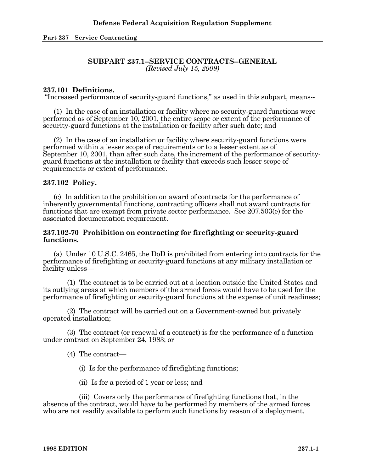### **SUBPART 237.1--SERVICE CONTRACTS--GENERAL**  *(Revised July 15, 2009)*

## **237.101 Definitions.**

"Increased performance of security-guard functions," as used in this subpart, means--

 (1) In the case of an installation or facility where no security-guard functions were performed as of September 10, 2001, the entire scope or extent of the performance of security-guard functions at the installation or facility after such date; and

 (2) In the case of an installation or facility where security-guard functions were performed within a lesser scope of requirements or to a lesser extent as of September 10, 2001, than after such date, the increment of the performance of securityguard functions at the installation or facility that exceeds such lesser scope of requirements or extent of performance.

## **237.102 Policy.**

 (c) In addition to the prohibition on award of contracts for the performance of inherently governmental functions, contracting officers shall not award contracts for functions that are exempt from private sector performance. See 207.503(e) for the associated documentation requirement.

### **237.102-70 Prohibition on contracting for firefighting or security-guard functions.**

 (a) Under 10 U.S.C. 2465, the DoD is prohibited from entering into contracts for the performance of firefighting or security-guard functions at any military installation or facility unless—

 (1) The contract is to be carried out at a location outside the United States and its outlying areas at which members of the armed forces would have to be used for the performance of firefighting or security-guard functions at the expense of unit readiness;

 (2) The contract will be carried out on a Government-owned but privately operated installation;

 (3) The contract (or renewal of a contract) is for the performance of a function under contract on September 24, 1983; or

- (4) The contract—
	- (i) Is for the performance of firefighting functions;
	- (ii) Is for a period of 1 year or less; and

 (iii) Covers only the performance of firefighting functions that, in the absence of the contract, would have to be performed by members of the armed forces who are not readily available to perform such functions by reason of a deployment.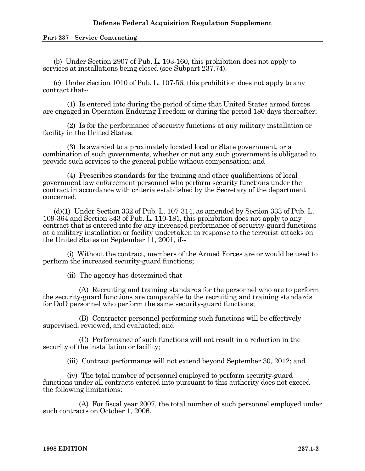### **Part 237—Service Contracting**

 (b) Under Section 2907 of Pub. L. 103-160, this prohibition does not apply to services at installations being closed (see Subpart 237.74).

 (c) Under Section 1010 of Pub. L. 107-56, this prohibition does not apply to any contract that--

 (1) Is entered into during the period of time that United States armed forces are engaged in Operation Enduring Freedom or during the period 180 days thereafter;

 (2) Is for the performance of security functions at any military installation or facility in the United States;

 (3) Is awarded to a proximately located local or State government, or a combination of such governments, whether or not any such government is obligated to provide such services to the general public without compensation; and

 (4) Prescribes standards for the training and other qualifications of local government law enforcement personnel who perform security functions under the contract in accordance with criteria established by the Secretary of the department concerned.

 (d)(1) Under Section 332 of Pub. L. 107-314, as amended by Section 333 of Pub. L. 109-364 and Section 343 of Pub. L. 110-181, this prohibition does not apply to any contract that is entered into for any increased performance of security-guard functions at a military installation or facility undertaken in response to the terrorist attacks on the United States on September 11, 2001, if--

 (i) Without the contract, members of the Armed Forces are or would be used to perform the increased security-guard functions;

(ii) The agency has determined that--

 (A) Recruiting and training standards for the personnel who are to perform the security-guard functions are comparable to the recruiting and training standards for DoD personnel who perform the same security-guard functions;

 (B) Contractor personnel performing such functions will be effectively supervised, reviewed, and evaluated; and

 (C) Performance of such functions will not result in a reduction in the security of the installation or facility;

(iii) Contract performance will not extend beyond September 30, 2012; and

 (iv) The total number of personnel employed to perform security-guard functions under all contracts entered into pursuant to this authority does not exceed the following limitations:

 (A) For fiscal year 2007, the total number of such personnel employed under such contracts on October 1, 2006.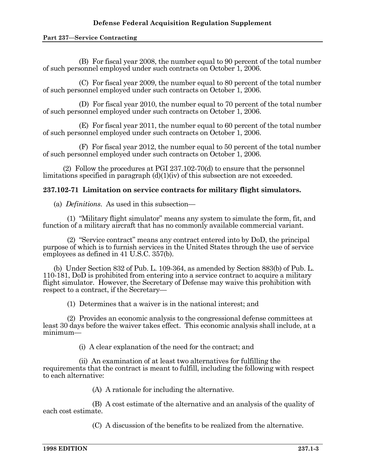(B) For fiscal year 2008, the number equal to 90 percent of the total number of such personnel employed under such contracts on October 1, 2006.

 (C) For fiscal year 2009, the number equal to 80 percent of the total number of such personnel employed under such contracts on October 1, 2006.

 (D) For fiscal year 2010, the number equal to 70 percent of the total number of such personnel employed under such contracts on October 1, 2006.

 (E) For fiscal year 2011, the number equal to 60 percent of the total number of such personnel employed under such contracts on October 1, 2006.

 (F) For fiscal year 2012, the number equal to 50 percent of the total number of such personnel employed under such contracts on October 1, 2006.

 (2) Follow the procedures at PGI 237.102-70(d) to ensure that the personnel limitations specified in paragraph (d)(1)(iv) of this subsection are not exceeded.

# **237.102-71 Limitation on service contracts for military flight simulators.**

(a) *Definitions*. As used in this subsection—

 (1) "Military flight simulator" means any system to simulate the form, fit, and function of a military aircraft that has no commonly available commercial variant.

 (2) "Service contract" means any contract entered into by DoD, the principal purpose of which is to furnish services in the United States through the use of service employees as defined in 41 U.S.C. 357(b).

 (b) Under Section 832 of Pub. L. 109-364, as amended by Section 883(b) of Pub. L. 110-181, DoD is prohibited from entering into a service contract to acquire a military flight simulator. However, the Secretary of Defense may waive this prohibition with respect to a contract, if the Secretary—

(1) Determines that a waiver is in the national interest; and

 (2) Provides an economic analysis to the congressional defense committees at least 30 days before the waiver takes effect. This economic analysis shall include, at a minimum—

(i) A clear explanation of the need for the contract; and

 (ii) An examination of at least two alternatives for fulfilling the requirements that the contract is meant to fulfill, including the following with respect to each alternative:

(A) A rationale for including the alternative.

 (B) A cost estimate of the alternative and an analysis of the quality of each cost estimate.

(C) A discussion of the benefits to be realized from the alternative.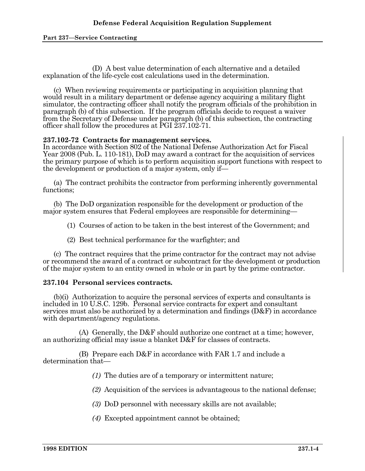(D) A best value determination of each alternative and a detailed explanation of the life-cycle cost calculations used in the determination.

 (c) When reviewing requirements or participating in acquisition planning that would result in a military department or defense agency acquiring a military flight simulator, the contracting officer shall notify the program officials of the prohibition in paragraph (b) of this subsection. If the program officials decide to request a waiver from the Secretary of Defense under paragraph (b) of this subsection, the contracting officer shall follow the procedures at PGI 237.102-71.

### **237.102-72 Contracts for management services.**

In accordance with Section 802 of the National Defense Authorization Act for Fiscal Year 2008 (Pub. L. 110-181), DoD may award a contract for the acquisition of services the primary purpose of which is to perform acquisition support functions with respect to the development or production of a major system, only if—

 (a) The contract prohibits the contractor from performing inherently governmental functions;

 (b) The DoD organization responsible for the development or production of the major system ensures that Federal employees are responsible for determining—

(1) Courses of action to be taken in the best interest of the Government; and

(2) Best technical performance for the warfighter; and

 (c) The contract requires that the prime contractor for the contract may not advise or recommend the award of a contract or subcontract for the development or production of the major system to an entity owned in whole or in part by the prime contractor.

## **237.104 Personal services contracts.**

 (b)(i) Authorization to acquire the personal services of experts and consultants is included in 10 U.S.C. 129b. Personal service contracts for expert and consultant services must also be authorized by a determination and findings  $(D\&F)$  in accordance with department/agency regulations.

 (A) Generally, the D&F should authorize one contract at a time; however, an authorizing official may issue a blanket D&F for classes of contracts.

 (B) Prepare each D&F in accordance with FAR 1.7 and include a determination that—

*(1)* The duties are of a temporary or intermittent nature;

*(2)* Acquisition of the services is advantageous to the national defense;

*(3)* DoD personnel with necessary skills are not available;

*(4)* Excepted appointment cannot be obtained;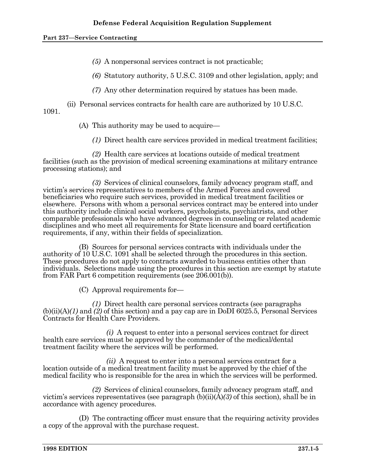*(5)* A nonpersonal services contract is not practicable;

*(6)* Statutory authority, 5 U.S.C. 3109 and other legislation, apply; and

*(7)* Any other determination required by statues has been made.

(ii) Personal services contracts for health care are authorized by 10 U.S.C.

1091.

(A) This authority may be used to acquire—

*(1)* Direct health care services provided in medical treatment facilities;

 *(2)* Health care services at locations outside of medical treatment facilities (such as the provision of medical screening examinations at military entrance processing stations); and

 *(3)* Services of clinical counselors, family advocacy program staff, and victim's services representatives to members of the Armed Forces and covered beneficiaries who require such services, provided in medical treatment facilities or elsewhere. Persons with whom a personal services contract may be entered into under this authority include clinical social workers, psychologists, psychiatrists, and other comparable professionals who have advanced degrees in counseling or related academic disciplines and who meet all requirements for State licensure and board certification requirements, if any, within their fields of specialization.

 (B) Sources for personal services contracts with individuals under the authority of 10 U.S.C. 1091 shall be selected through the procedures in this section. These procedures do not apply to contracts awarded to business entities other than individuals. Selections made using the procedures in this section are exempt by statute from FAR Part 6 competition requirements (see 206.001(b)).

(C) Approval requirements for—

 *(1)* Direct health care personal services contracts (see paragraphs (b)(ii)(A)*(1)* and *(2)* of this section) and a pay cap are in DoDI 6025.5, Personal Services Contracts for Health Care Providers.

 *(i)* A request to enter into a personal services contract for direct health care services must be approved by the commander of the medical/dental treatment facility where the services will be performed.

 *(ii)* A request to enter into a personal services contract for a location outside of a medical treatment facility must be approved by the chief of the medical facility who is responsible for the area in which the services will be performed.

 *(2)* Services of clinical counselors, family advocacy program staff, and victim's services representatives (see paragraph (b)(ii)(A)*(3)* of this section), shall be in accordance with agency procedures.

 (D) The contracting officer must ensure that the requiring activity provides a copy of the approval with the purchase request.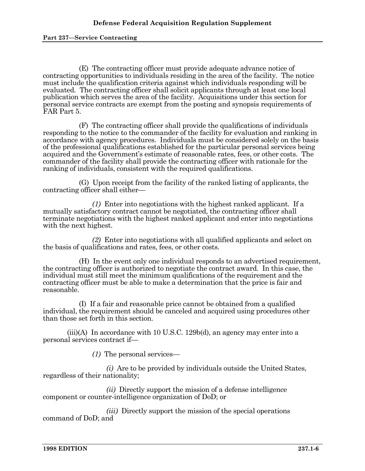(E) The contracting officer must provide adequate advance notice of contracting opportunities to individuals residing in the area of the facility. The notice must include the qualification criteria against which individuals responding will be evaluated. The contracting officer shall solicit applicants through at least one local publication which serves the area of the facility. Acquisitions under this section for personal service contracts are exempt from the posting and synopsis requirements of FAR Part 5.

 (F) The contracting officer shall provide the qualifications of individuals responding to the notice to the commander of the facility for evaluation and ranking in accordance with agency procedures. Individuals must be considered solely on the basis of the professional qualifications established for the particular personal services being acquired and the Government's estimate of reasonable rates, fees, or other costs. The commander of the facility shall provide the contracting officer with rationale for the ranking of individuals, consistent with the required qualifications.

 (G) Upon receipt from the facility of the ranked listing of applicants, the contracting officer shall either—

 *(1)* Enter into negotiations with the highest ranked applicant. If a mutually satisfactory contract cannot be negotiated, the contracting officer shall terminate negotiations with the highest ranked applicant and enter into negotiations with the next highest.

 *(2)* Enter into negotiations with all qualified applicants and select on the basis of qualifications and rates, fees, or other costs.

 (H) In the event only one individual responds to an advertised requirement, the contracting officer is authorized to negotiate the contract award. In this case, the individual must still meet the minimum qualifications of the requirement and the contracting officer must be able to make a determination that the price is fair and reasonable.

 (I) If a fair and reasonable price cannot be obtained from a qualified individual, the requirement should be canceled and acquired using procedures other than those set forth in this section.

 $(iii)(A)$  In accordance with 10 U.S.C. 129b(d), an agency may enter into a personal services contract if—

*(1)* The personal services—

 *(i)* Are to be provided by individuals outside the United States, regardless of their nationality;

 *(ii)* Directly support the mission of a defense intelligence component or counter-intelligence organization of DoD; or

 *(iii)* Directly support the mission of the special operations command of DoD; and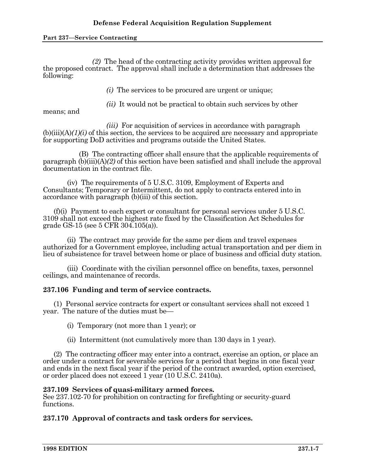**Part 237—Service Contracting** 

 *(2)* The head of the contracting activity provides written approval for the proposed contract. The approval shall include a determination that addresses the following:

*(i)* The services to be procured are urgent or unique;

*(ii)* It would not be practical to obtain such services by other

means; and

*(iii)* For acquisition of services in accordance with paragraph  $(b)(iii)(A)(1)(i)$  of this section, the services to be acquired are necessary and appropriate for supporting DoD activities and programs outside the United States.

 (B) The contracting officer shall ensure that the applicable requirements of paragraph (b)(iii)(A)*(2)* of this section have been satisfied and shall include the approval documentation in the contract file.

 (iv) The requirements of 5 U.S.C. 3109, Employment of Experts and Consultants; Temporary or Intermittent, do not apply to contracts entered into in accordance with paragraph (b)(iii) of this section.

 (f)(i) Payment to each expert or consultant for personal services under 5 U.S.C. 3109 shall not exceed the highest rate fixed by the Classification Act Schedules for grade GS-15 (see 5 CFR 304.105(a)).

 (ii) The contract may provide for the same per diem and travel expenses authorized for a Government employee, including actual transportation and per diem in lieu of subsistence for travel between home or place of business and official duty station.

 (iii) Coordinate with the civilian personnel office on benefits, taxes, personnel ceilings, and maintenance of records.

## **237.106 Funding and term of service contracts.**

 (1) Personal service contracts for expert or consultant services shall not exceed 1 year. The nature of the duties must be—

(i) Temporary (not more than 1 year); or

(ii) Intermittent (not cumulatively more than 130 days in 1 year).

 (2) The contracting officer may enter into a contract, exercise an option, or place an order under a contract for severable services for a period that begins in one fiscal year and ends in the next fiscal year if the period of the contract awarded, option exercised, or order placed does not exceed 1 year (10 U.S.C. 2410a).

## **237.109 Services of quasi-military armed forces.**

See 237.102-70 for prohibition on contracting for firefighting or security-guard functions.

# **237.170 Approval of contracts and task orders for services.**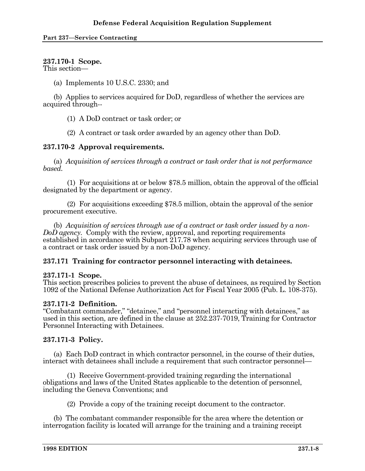# **237.170-1 Scope.**

This section—

(a) Implements 10 U.S.C. 2330; and

 (b) Applies to services acquired for DoD, regardless of whether the services are acquired through--

(1) A DoD contract or task order; or

(2) A contract or task order awarded by an agency other than DoD.

# **237.170-2 Approval requirements.**

 (a) *Acquisition of services through a contract or task order that is not performance based.* 

 (1) For acquisitions at or below \$78.5 million, obtain the approval of the official designated by the department or agency.

 (2) For acquisitions exceeding \$78.5 million, obtain the approval of the senior procurement executive.

 (b) *Acquisition of services through use of a contract or task order issued by a non-DoD agency.* Comply with the review, approval, and reporting requirements established in accordance with Subpart 217.78 when acquiring services through use of a contract or task order issued by a non-DoD agency.

# **237.171 Training for contractor personnel interacting with detainees.**

## **237.171-1 Scope.**

This section prescribes policies to prevent the abuse of detainees, as required by Section 1092 of the National Defense Authorization Act for Fiscal Year 2005 (Pub. L. 108-375).

## **237.171-2 Definition.**

"Combatant commander," "detainee," and "personnel interacting with detainees," as used in this section, are defined in the clause at 252.237-7019, Training for Contractor Personnel Interacting with Detainees.

## **237.171-3 Policy.**

 (a) Each DoD contract in which contractor personnel, in the course of their duties, interact with detainees shall include a requirement that such contractor personnel—

 (1) Receive Government-provided training regarding the international obligations and laws of the United States applicable to the detention of personnel, including the Geneva Conventions; and

(2) Provide a copy of the training receipt document to the contractor.

 (b) The combatant commander responsible for the area where the detention or interrogation facility is located will arrange for the training and a training receipt